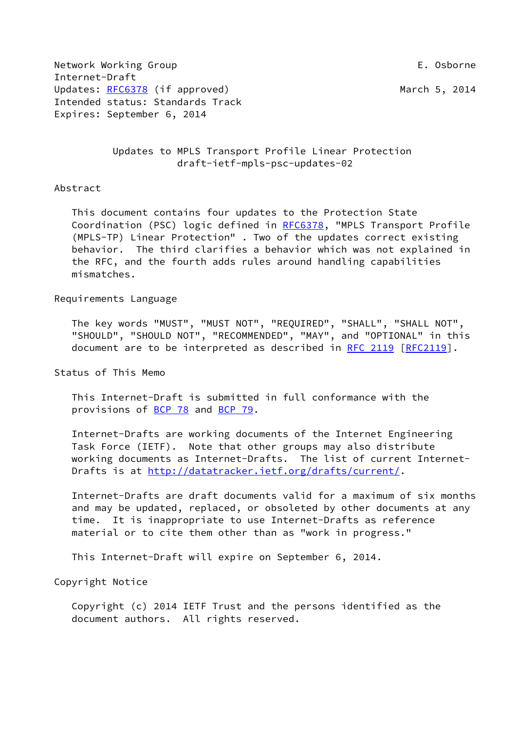Network Working Group **E. Osborne** Internet-Draft Updates: [RFC6378](https://datatracker.ietf.org/doc/pdf/rfc6378) (if approved) March 5, 2014 Intended status: Standards Track Expires: September 6, 2014

 Updates to MPLS Transport Profile Linear Protection draft-ietf-mpls-psc-updates-02

Abstract

 This document contains four updates to the Protection State Coordination (PSC) logic defined in [RFC6378,](https://datatracker.ietf.org/doc/pdf/rfc6378) "MPLS Transport Profile (MPLS-TP) Linear Protection" . Two of the updates correct existing behavior. The third clarifies a behavior which was not explained in the RFC, and the fourth adds rules around handling capabilities mismatches.

Requirements Language

 The key words "MUST", "MUST NOT", "REQUIRED", "SHALL", "SHALL NOT", "SHOULD", "SHOULD NOT", "RECOMMENDED", "MAY", and "OPTIONAL" in this document are to be interpreted as described in [RFC 2119 \[RFC2119](https://datatracker.ietf.org/doc/pdf/rfc2119)].

Status of This Memo

 This Internet-Draft is submitted in full conformance with the provisions of [BCP 78](https://datatracker.ietf.org/doc/pdf/bcp78) and [BCP 79](https://datatracker.ietf.org/doc/pdf/bcp79).

 Internet-Drafts are working documents of the Internet Engineering Task Force (IETF). Note that other groups may also distribute working documents as Internet-Drafts. The list of current Internet Drafts is at<http://datatracker.ietf.org/drafts/current/>.

 Internet-Drafts are draft documents valid for a maximum of six months and may be updated, replaced, or obsoleted by other documents at any time. It is inappropriate to use Internet-Drafts as reference material or to cite them other than as "work in progress."

This Internet-Draft will expire on September 6, 2014.

Copyright Notice

 Copyright (c) 2014 IETF Trust and the persons identified as the document authors. All rights reserved.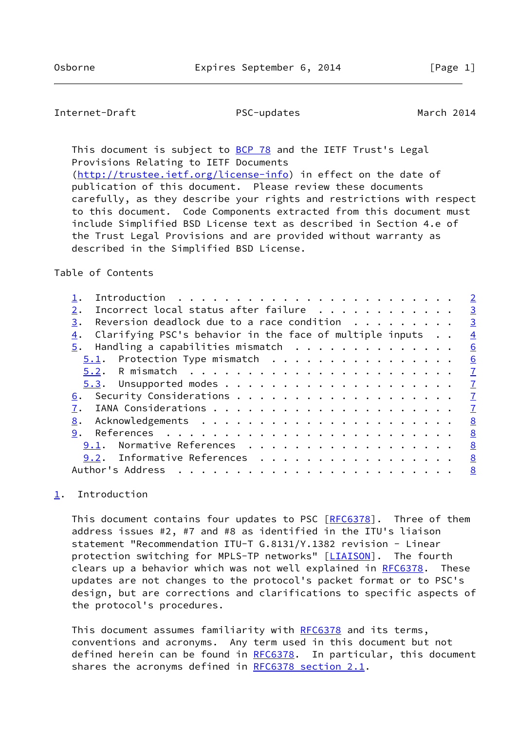## <span id="page-1-1"></span>Internet-Draft PSC-updates March 2014

This document is subject to [BCP 78](https://datatracker.ietf.org/doc/pdf/bcp78) and the IETF Trust's Legal Provisions Relating to IETF Documents

 [\(http://trustee.ietf.org/license-info](http://trustee.ietf.org/license-info)) in effect on the date of publication of this document. Please review these documents carefully, as they describe your rights and restrictions with respect to this document. Code Components extracted from this document must include Simplified BSD License text as described in Section 4.e of the Trust Legal Provisions and are provided without warranty as described in the Simplified BSD License.

### Table of Contents

|                                                                                              | $\overline{2}$ |
|----------------------------------------------------------------------------------------------|----------------|
| Incorrect local status after failure<br>2.                                                   | $\overline{3}$ |
| Reversion deadlock due to a race condition $\cdot \cdot \cdot \cdot \cdot \cdot \cdot$<br>3. | $\overline{3}$ |
| Clarifying PSC's behavior in the face of multiple inputs<br>4.                               | $\overline{4}$ |
| $\overline{5}$ . Handling a capabilities mismatch                                            | 6              |
| $5.1$ . Protection Type mismatch                                                             | 6              |
|                                                                                              | $\overline{1}$ |
|                                                                                              | $\overline{1}$ |
|                                                                                              | $\mathbf I$    |
|                                                                                              | $\overline{7}$ |
| 8.                                                                                           | 8              |
| 9.                                                                                           | <u>8</u>       |
| Normative References<br>9.1.                                                                 | 8              |
| 9.2. Informative References                                                                  | <u>8</u>       |
| Author's Address                                                                             | 8              |
|                                                                                              |                |

# <span id="page-1-0"></span>[1](#page-1-0). Introduction

This document contains four updates to PSC [[RFC6378\]](https://datatracker.ietf.org/doc/pdf/rfc6378). Three of them address issues #2, #7 and #8 as identified in the ITU's liaison statement "Recommendation ITU-T G.8131/Y.1382 revision - Linear protection switching for MPLS-TP networks" [[LIAISON\]](#page-8-3). The fourth clears up a behavior which was not well explained in [RFC6378](https://datatracker.ietf.org/doc/pdf/rfc6378). These updates are not changes to the protocol's packet format or to PSC's design, but are corrections and clarifications to specific aspects of the protocol's procedures.

This document assumes familiarity with [RFC6378](https://datatracker.ietf.org/doc/pdf/rfc6378) and its terms, conventions and acronyms. Any term used in this document but not defined herein can be found in [RFC6378](https://datatracker.ietf.org/doc/pdf/rfc6378). In particular, this document shares the acronyms defined in [RFC6378 section](https://datatracker.ietf.org/doc/pdf/rfc6378#section-2.1) 2.1.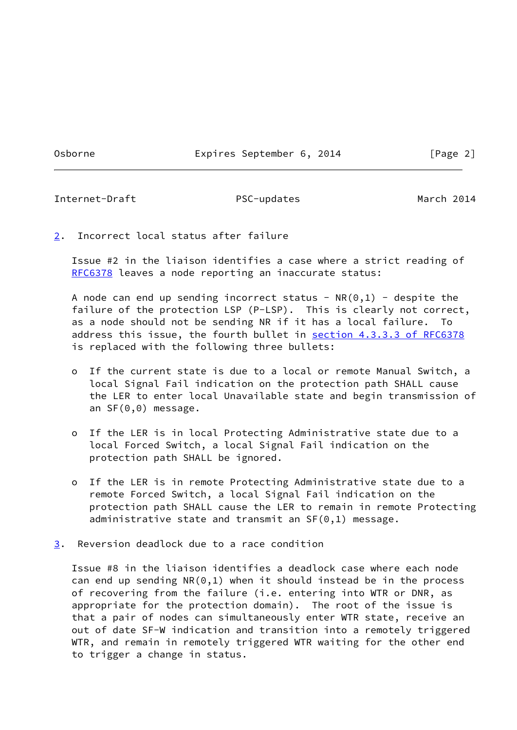Osborne **Expires September 6, 2014** [Page 2]

<span id="page-2-1"></span>Internet-Draft PSC-updates March 2014

<span id="page-2-0"></span>[2](#page-2-0). Incorrect local status after failure

 Issue #2 in the liaison identifies a case where a strict reading of [RFC6378](https://datatracker.ietf.org/doc/pdf/rfc6378) leaves a node reporting an inaccurate status:

A node can end up sending incorrect status -  $NR(0,1)$  - despite the failure of the protection LSP (P-LSP). This is clearly not correct, as a node should not be sending NR if it has a local failure. To address this issue, the fourth bullet in section [4.3.3.3 of RFC6378](https://datatracker.ietf.org/doc/pdf/rfc6378#section-4.3.3.3) is replaced with the following three bullets:

- o If the current state is due to a local or remote Manual Switch, a local Signal Fail indication on the protection path SHALL cause the LER to enter local Unavailable state and begin transmission of an SF(0,0) message.
- o If the LER is in local Protecting Administrative state due to a local Forced Switch, a local Signal Fail indication on the protection path SHALL be ignored.
- o If the LER is in remote Protecting Administrative state due to a remote Forced Switch, a local Signal Fail indication on the protection path SHALL cause the LER to remain in remote Protecting administrative state and transmit an SF(0,1) message.
- <span id="page-2-2"></span>[3](#page-2-2). Reversion deadlock due to a race condition

 Issue #8 in the liaison identifies a deadlock case where each node can end up sending  $NR(0,1)$  when it should instead be in the process of recovering from the failure (i.e. entering into WTR or DNR, as appropriate for the protection domain). The root of the issue is that a pair of nodes can simultaneously enter WTR state, receive an out of date SF-W indication and transition into a remotely triggered WTR, and remain in remotely triggered WTR waiting for the other end to trigger a change in status.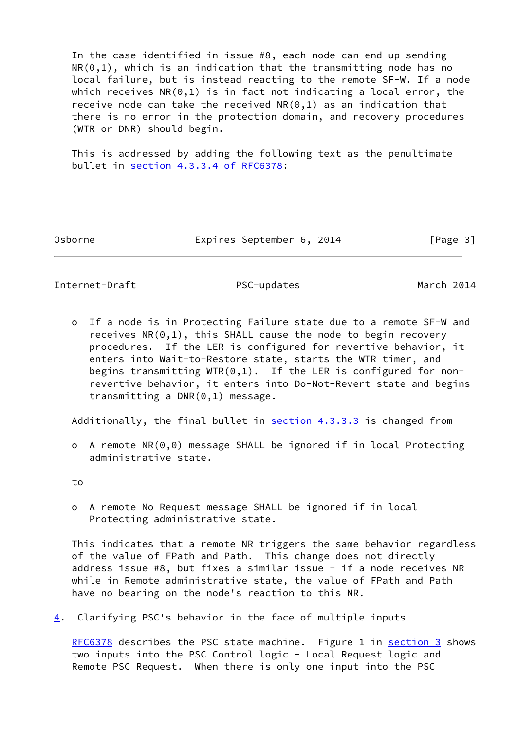In the case identified in issue #8, each node can end up sending  $NR(0,1)$ , which is an indication that the transmitting node has no local failure, but is instead reacting to the remote SF-W. If a node which receives  $NR(0,1)$  is in fact not indicating a local error, the receive node can take the received  $NR(0,1)$  as an indication that there is no error in the protection domain, and recovery procedures (WTR or DNR) should begin.

 This is addressed by adding the following text as the penultimate bullet in section [4.3.3.4 of RFC6378:](https://datatracker.ietf.org/doc/pdf/rfc6378#section-4.3.3.4)

Osborne **Expires September 6, 2014** [Page 3]

<span id="page-3-1"></span>Internet-Draft PSC-updates March 2014

 o If a node is in Protecting Failure state due to a remote SF-W and receives  $NR(0,1)$ , this SHALL cause the node to begin recovery procedures. If the LER is configured for revertive behavior, it enters into Wait-to-Restore state, starts the WTR timer, and begins transmitting  $WTR(0,1)$ . If the LER is configured for non revertive behavior, it enters into Do-Not-Revert state and begins transmitting a DNR(0,1) message.

Additionally, the final bullet in section 4.3.3.3 is changed from

 o A remote NR(0,0) message SHALL be ignored if in local Protecting administrative state.

to

 o A remote No Request message SHALL be ignored if in local Protecting administrative state.

 This indicates that a remote NR triggers the same behavior regardless of the value of FPath and Path. This change does not directly address issue #8, but fixes a similar issue - if a node receives NR while in Remote administrative state, the value of FPath and Path have no bearing on the node's reaction to this NR.

<span id="page-3-0"></span>[4](#page-3-0). Clarifying PSC's behavior in the face of multiple inputs

[RFC6378](https://datatracker.ietf.org/doc/pdf/rfc6378) describes the PSC state machine. Figure 1 in [section 3](#page-2-2) shows two inputs into the PSC Control logic - Local Request logic and Remote PSC Request. When there is only one input into the PSC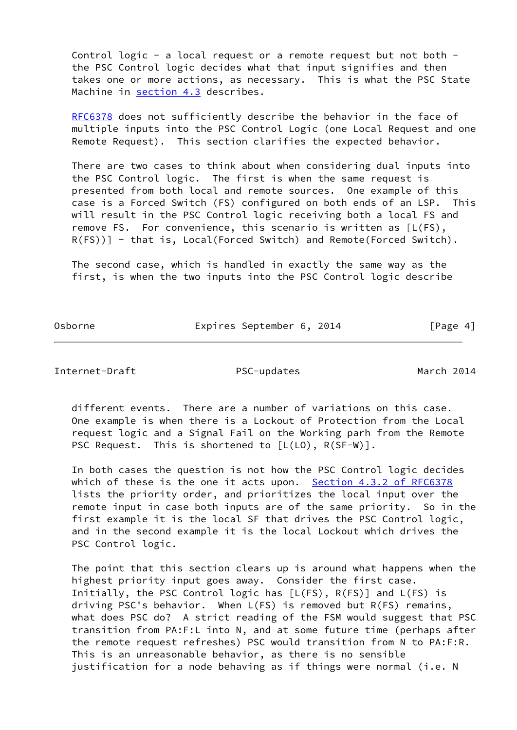Control logic - a local request or a remote request but not both the PSC Control logic decides what that input signifies and then takes one or more actions, as necessary. This is what the PSC State Machine in section 4.3 describes.

[RFC6378](https://datatracker.ietf.org/doc/pdf/rfc6378) does not sufficiently describe the behavior in the face of multiple inputs into the PSC Control Logic (one Local Request and one Remote Request). This section clarifies the expected behavior.

 There are two cases to think about when considering dual inputs into the PSC Control logic. The first is when the same request is presented from both local and remote sources. One example of this case is a Forced Switch (FS) configured on both ends of an LSP. This will result in the PSC Control logic receiving both a local FS and remove FS. For convenience, this scenario is written as [L(FS), R(FS))] - that is, Local(Forced Switch) and Remote(Forced Switch).

 The second case, which is handled in exactly the same way as the first, is when the two inputs into the PSC Control logic describe

Osborne **Expires September 6, 2014** [Page 4]

Internet-Draft PSC-updates March 2014

 different events. There are a number of variations on this case. One example is when there is a Lockout of Protection from the Local request logic and a Signal Fail on the Working parh from the Remote PSC Request. This is shortened to  $[L(L0), R(SF-W)].$ 

 In both cases the question is not how the PSC Control logic decides which of these is the one it acts upon. Section [4.3.2 of RFC6378](https://datatracker.ietf.org/doc/pdf/rfc6378#section-4.3.2) lists the priority order, and prioritizes the local input over the remote input in case both inputs are of the same priority. So in the first example it is the local SF that drives the PSC Control logic, and in the second example it is the local Lockout which drives the PSC Control logic.

 The point that this section clears up is around what happens when the highest priority input goes away. Consider the first case. Initially, the PSC Control logic has [L(FS), R(FS)] and L(FS) is driving PSC's behavior. When L(FS) is removed but R(FS) remains, what does PSC do? A strict reading of the FSM would suggest that PSC transition from PA:F:L into N, and at some future time (perhaps after the remote request refreshes) PSC would transition from N to PA:F:R. This is an unreasonable behavior, as there is no sensible justification for a node behaving as if things were normal (i.e. N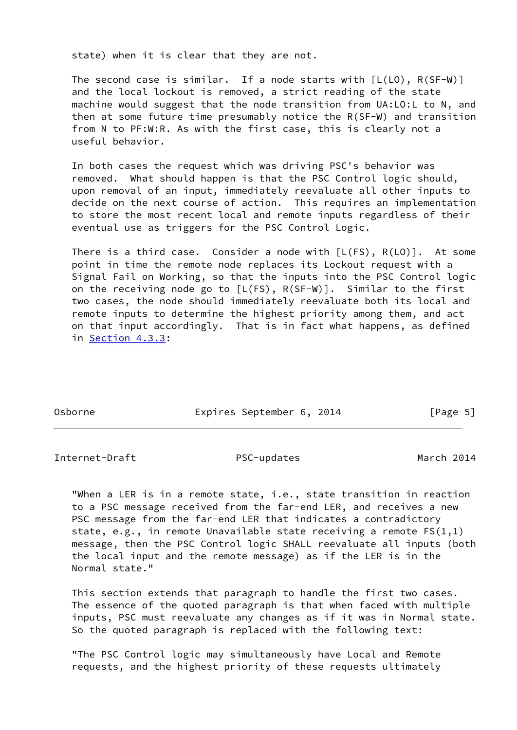state) when it is clear that they are not.

The second case is similar. If a node starts with  $[L(L0), R(SF-W)]$  and the local lockout is removed, a strict reading of the state machine would suggest that the node transition from UA:LO:L to N, and then at some future time presumably notice the R(SF-W) and transition from N to PF:W:R. As with the first case, this is clearly not a useful behavior.

 In both cases the request which was driving PSC's behavior was removed. What should happen is that the PSC Control logic should, upon removal of an input, immediately reevaluate all other inputs to decide on the next course of action. This requires an implementation to store the most recent local and remote inputs regardless of their eventual use as triggers for the PSC Control Logic.

There is a third case. Consider a node with  $[L(FS), R(LO)]$ . At some point in time the remote node replaces its Lockout request with a Signal Fail on Working, so that the inputs into the PSC Control logic on the receiving node go to  $[L(FS), R(SF-W)]$ . Similar to the first two cases, the node should immediately reevaluate both its local and remote inputs to determine the highest priority among them, and act on that input accordingly. That is in fact what happens, as defined in Section 4.3.3:

Osborne **Expires September 6, 2014** [Page 5]

<span id="page-5-0"></span>Internet-Draft PSC-updates March 2014

 "When a LER is in a remote state, i.e., state transition in reaction to a PSC message received from the far-end LER, and receives a new PSC message from the far-end LER that indicates a contradictory state, e.g., in remote Unavailable state receiving a remote FS(1,1) message, then the PSC Control logic SHALL reevaluate all inputs (both the local input and the remote message) as if the LER is in the Normal state."

 This section extends that paragraph to handle the first two cases. The essence of the quoted paragraph is that when faced with multiple inputs, PSC must reevaluate any changes as if it was in Normal state. So the quoted paragraph is replaced with the following text:

 "The PSC Control logic may simultaneously have Local and Remote requests, and the highest priority of these requests ultimately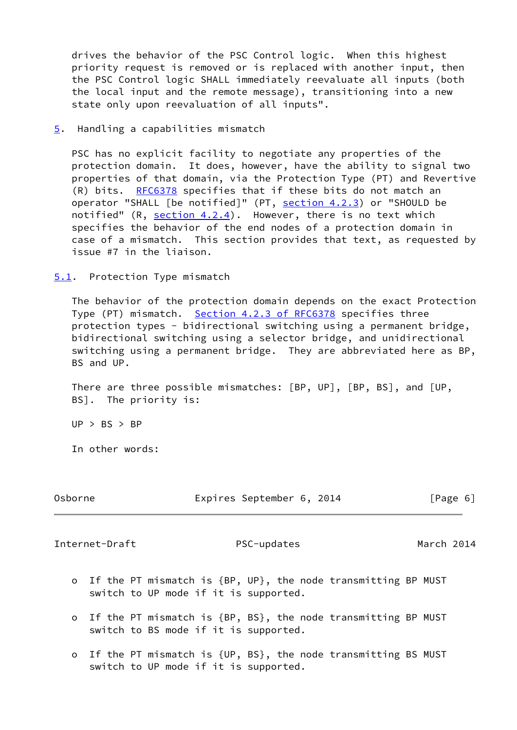drives the behavior of the PSC Control logic. When this highest priority request is removed or is replaced with another input, then the PSC Control logic SHALL immediately reevaluate all inputs (both the local input and the remote message), transitioning into a new state only upon reevaluation of all inputs".

<span id="page-6-0"></span>[5](#page-6-0). Handling a capabilities mismatch

 PSC has no explicit facility to negotiate any properties of the protection domain. It does, however, have the ability to signal two properties of that domain, via the Protection Type (PT) and Revertive (R) bits. [RFC6378](https://datatracker.ietf.org/doc/pdf/rfc6378) specifies that if these bits do not match an operator "SHALL [be notified]" (PT, section 4.2.3) or "SHOULD be notified"  $(R, section 4.2.4)$ . However, there is no text which specifies the behavior of the end nodes of a protection domain in case of a mismatch. This section provides that text, as requested by issue #7 in the liaison.

<span id="page-6-1"></span>[5.1](#page-6-1). Protection Type mismatch

 The behavior of the protection domain depends on the exact Protection Type (PT) mismatch. Section [4.2.3 of RFC6378](https://datatracker.ietf.org/doc/pdf/rfc6378#section-4.2.3) specifies three protection types - bidirectional switching using a permanent bridge, bidirectional switching using a selector bridge, and unidirectional switching using a permanent bridge. They are abbreviated here as BP, BS and UP.

 There are three possible mismatches: [BP, UP], [BP, BS], and [UP, BS]. The priority is:

 $UP > BS > BP$ 

In other words:

| Osborne | Expires September 6, 2014 |  | [Page 6] |  |
|---------|---------------------------|--|----------|--|
|         |                           |  |          |  |

<span id="page-6-2"></span>Internet-Draft PSC-updates March 2014

- o If the PT mismatch is {BP, UP}, the node transmitting BP MUST switch to UP mode if it is supported.
- o If the PT mismatch is {BP, BS}, the node transmitting BP MUST switch to BS mode if it is supported.
- o If the PT mismatch is {UP, BS}, the node transmitting BS MUST switch to UP mode if it is supported.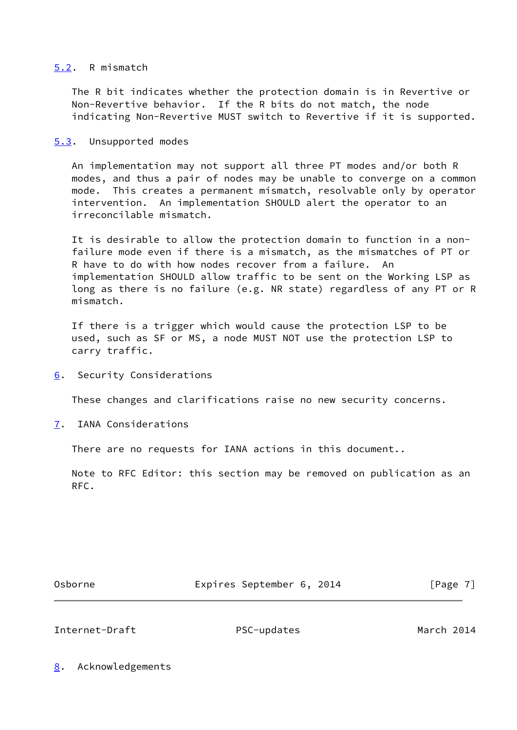### <span id="page-7-0"></span>[5.2](#page-7-0). R mismatch

 The R bit indicates whether the protection domain is in Revertive or Non-Revertive behavior. If the R bits do not match, the node indicating Non-Revertive MUST switch to Revertive if it is supported.

<span id="page-7-1"></span>[5.3](#page-7-1). Unsupported modes

 An implementation may not support all three PT modes and/or both R modes, and thus a pair of nodes may be unable to converge on a common mode. This creates a permanent mismatch, resolvable only by operator intervention. An implementation SHOULD alert the operator to an irreconcilable mismatch.

 It is desirable to allow the protection domain to function in a non failure mode even if there is a mismatch, as the mismatches of PT or R have to do with how nodes recover from a failure. An implementation SHOULD allow traffic to be sent on the Working LSP as long as there is no failure (e.g. NR state) regardless of any PT or R mismatch.

 If there is a trigger which would cause the protection LSP to be used, such as SF or MS, a node MUST NOT use the protection LSP to carry traffic.

<span id="page-7-2"></span>[6](#page-7-2). Security Considerations

These changes and clarifications raise no new security concerns.

<span id="page-7-3"></span>[7](#page-7-3). IANA Considerations

There are no requests for IANA actions in this document..

 Note to RFC Editor: this section may be removed on publication as an RFC.

Osborne Expires September 6, 2014 [Page 7]

<span id="page-7-5"></span>Internet-Draft PSC-updates March 2014

<span id="page-7-4"></span>[8](#page-7-4). Acknowledgements